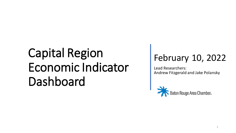## February 10, 2022

Lead Researchers: Andrew Fitzgerald and Jake Polansky

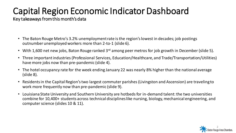Key takeaways from this month's data

- The Baton Rouge Metro's 3.2% unemployment rate is the region's lowest in decades; job postings outnumber unemployed workers more than 2-to-1 (slide 6).
- With 1,600 net new jobs, Baton Rouge ranked 3<sup>rd</sup> among peer metros for job growth in December (slide 5).
- Three important industries (Professional Services, Education/Healthcare, and Trade/Transportation/Utilities) have more jobs now than pre-pandemic (slide 4).
- The hotel occupancy rate for the week ending January 22 was nearly 8% higher than the national average (slide 8).
- Residents in the Capital Region's two largest commuter parishes (Livingston and Ascension) are traveling to work more frequently now than pre-pandemic (slide 9).
- Louisiana State University and Southern University are hotbeds for in-demand talent: the two universities combine for 10,400+ students across technical disciplines like nursing, biology, mechanical engineering, and computer science (slides 10 & 11).

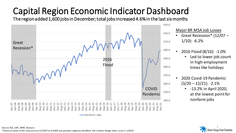The region added 1,600 jobs in December; total jobs increased 4.6% in the last six months



Major BR MSA Job Losses

- Great Recession\* (12/07  $1/10$ : -6.2%
	- 2016 Flood (8/16): -1.0% Led to lower job count in high-employment times like holidays
- 2020 Covid-19 Pandemic  $(3/20 - 12/21)$ : -2.1%
	- -13.2% in April 2020, at the lowest point for nonfarm jobs

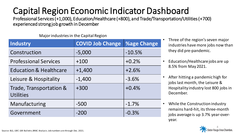Professional Services (+1,000), Education/Healthcare (+800), and Trade/Transportation/Utilities (+700) experienced strong job growth in December

#### Major industries in the Capital Region

| <b>Industry</b>                             | <b>COVID Job Change</b> | <b>%age Change</b> |
|---------------------------------------------|-------------------------|--------------------|
| Construction                                | $-5,000$                | $-10.5%$           |
| <b>Professional Services</b>                | $+100$                  | $+0.2%$            |
| <b>Education &amp; Healthcare</b>           | $+1,400$                | $+2.6%$            |
| Leisure & Hospitality                       | $-1,400$                | $-3.6%$            |
| Trade, Transportation &<br><b>Utilities</b> | $+300$                  | $+0.4%$            |
| Manufacturing                               | $-500$                  | $-1.7%$            |
| Government                                  | $-200$                  | $-0.3%$            |

- Three of the region's seven major industries have more jobs now than they did pre-pandemic.
- Education/Healthcare jobs are up 8.5% from May 2021.
- After hitting a pandemic high for jobs last month, the Leisure & Hospitality industry lost 800 jobs in December.
- While the Construction industry remains hard-hit, its three-month jobs average is up 3.7% year-overyear.

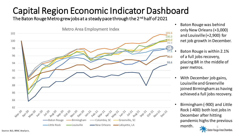The Baton Rouge Metro grew jobs at a steady pace through the 2<sup>nd</sup> half of 2021



- Baton Rouge was behind only New Orleans (+3,000) and Louisville (+2,900) for net job growth in December.
- Baton Rouge is within 2.1% of a full jobs recovery, placing BR in the middle of peer metros.
- With December job gains, Louisville and Greenville joined Birmingham as having achieved a full jobs recovery.
- Birmingham (-900) and Little Rock (-400) both lost jobs in December after hitting pandemic highs the previous month. Baton Rouge Area Chamber.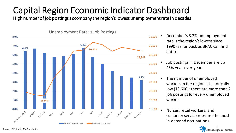High number of job postings accompany the region's lowest unemployment rate in decades



- December's 3.2% unemployment rate is the region's lowest since 1990 (as far back as BRAC can find data).
- Job postings in December are up 45% year-over-year.
- The number of unemployed workers in the region is historically low (13,600); there are more than 2 job postings for every unemployed worker.
- Nurses, retail workers, and customer service reps are the most in-demand occupations.

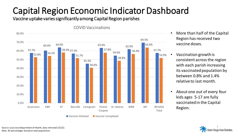Vaccine uptake varies significantly among Capital Region parishes

#### COVID Vaccinations



- More than half of the Capital Region has received two vaccine doses.
- Vaccination growth is consistent across the region with each parish increasing its vaccinated population by between 0.8% and 1.4% relative to last month.
- About one out of every four kids ages 5-17 are fully vaccinated in the Capital Region.



Source: Louisiana Department of Health, data retrieved 2/2/22. Note: All percentages based on total population.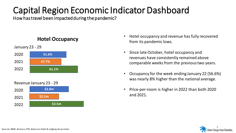How has travel been impacted during the pandemic?

### **Hotel Occupancy**



Revenue January 23 - 29



- Hotel occupancy and revenue has fully recovered from its pandemic lows.
- Since late October, hotel occupancy and revenues have consistently remained above comparable weeks from the previous two years.
- Occupancy for the week ending January 22 (56.6%) was nearly 8% higher than the national average.
- Price-per-room is higher in 2022 than both 2020 and 2021.

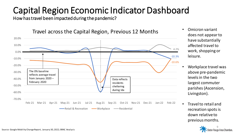How has travel been impacted during the pandemic?



Travel across the Capital Region, Previous 12 Months

- Omicron variant does not appear to have substantially affected travel to work, shopping or leisure.
- Workplace travel was above pre-pandemic levels in the two largest commuter parishes (Ascension, Livingston).
- Travel to retail and recreation spots is down relative to previous months.

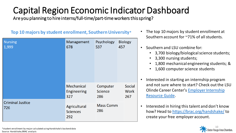Are you planning to hire interns/full-time/part-time workers this spring?

| <b>Nursing</b><br>1,999        | Management<br>678                       | Psychology<br>537                 | <b>Biology</b><br>457               |
|--------------------------------|-----------------------------------------|-----------------------------------|-------------------------------------|
|                                | <b>Mechanical</b><br>Engineering<br>327 | Computer<br><b>Science</b><br>286 | <b>Social</b><br><b>Work</b><br>267 |
| <b>Criminal Justice</b><br>726 | Agricultural<br><b>Sciences</b><br>292  | <b>Mass Comm</b><br>286           |                                     |

### **Top 10 majors by student enrollment, Southern University\***

- The top 10 majors by student enrollment at Southern account for ~71% of all students.
- Southern and LSU combine for:
	- 3,700 biology/biological science students;
	- 3,300 nursing students;
	- 1,800 mechanical engineering students; &
	- 1,600 computer science students
- Interested in starting an internship program and not sure where to start? Check out the LSU [Olinde Career Center's](https://www.lsu.edu/careercenter/about/1920internshipresourceguide_amw.pdf) Employer Internship Resource Guide.
- Interested in hiring this talent and don't know how? Head to<https://brac.org/handshake/> to create your free employer account.



\*student enrollment by major calculated using Handshake's backend data Source: Handshake; BRAC analysis